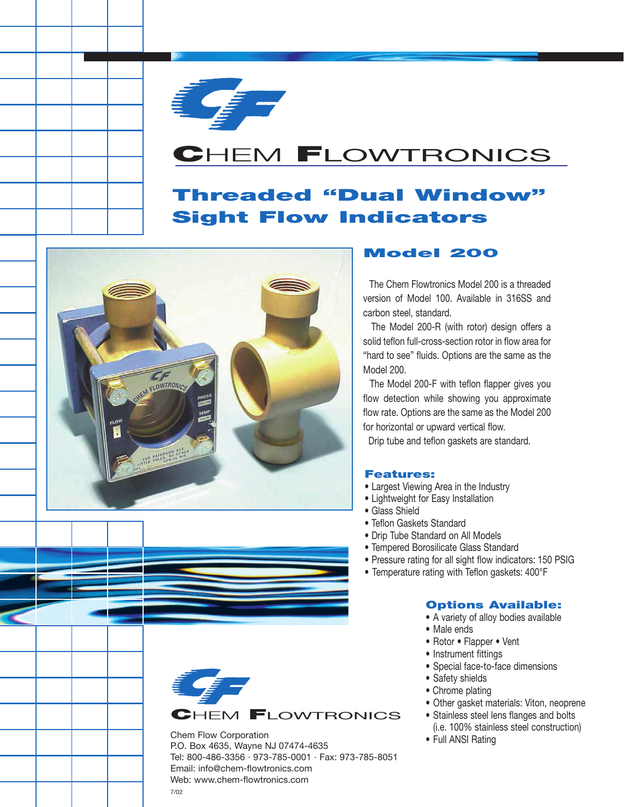

## **C**HEM **F**LOWTRONICS

## **Threaded "Dual Window" Sight Flow Indicators**



### **Model 200**

The Chem Flowtronics Model 200 is a threaded version of Model 100. Available in 316SS and carbon steel, standard.

The Model 200-R (with rotor) design offers a solid teflon full-cross-section rotor in flow area for "hard to see" fluids. Options are the same as the Model 200.

The Model 200-F with teflon flapper gives you flow detection while showing you approximate flow rate. Options are the same as the Model 200 for horizontal or upward vertical flow.

Drip tube and teflon gaskets are standard.

#### **Features:**

- Largest Viewing Area in the Industry
- Lightweight for Easy Installation
- Glass Shield
- Teflon Gaskets Standard
- Drip Tube Standard on All Models
- Tempered Borosilicate Glass Standard
- Pressure rating for all sight flow indicators: 150 PSIG
- Temperature rating with Teflon gaskets: 400°F

#### **Options Available:**

- A variety of alloy bodies available
- Male ends
- Rotor Flapper Vent
- Instrument fittings
- Special face-to-face dimensions
- Safety shields
- Chrome plating
- Other gasket materials: Viton, neoprene
- Stainless steel lens flanges and bolts (i.e. 100% stainless steel construction)
- Full ANSI Rating



Chem Flow Corporation P.O. Box 4635, Wayne NJ 07474-4635 Tel: 800-486-3356 · 973-785-0001 · Fax: 973-785-8051 Email: info@chem-flowtronics.com Web: www.chem-flowtronics.com 7/02